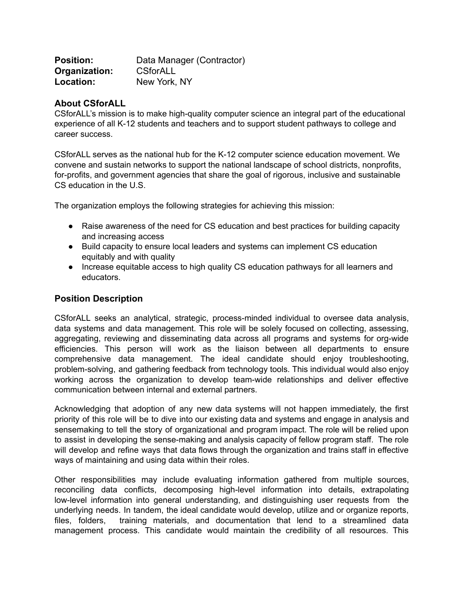| <b>Position:</b> | Data Manager (Contractor) |
|------------------|---------------------------|
| Organization:    | <b>CSforALL</b>           |
| Location:        | New York, NY              |

#### **About CSforALL**

CSforALL's mission is to make high-quality computer science an integral part of the educational experience of all K-12 students and teachers and to support student pathways to college and career success.

CSforALL serves as the national hub for the K-12 computer science education movement. We convene and sustain networks to support the national landscape of school districts, nonprofits, for-profits, and government agencies that share the goal of rigorous, inclusive and sustainable CS education in the U.S.

The organization employs the following strategies for achieving this mission:

- Raise awareness of the need for CS education and best practices for building capacity and increasing access
- Build capacity to ensure local leaders and systems can implement CS education equitably and with quality
- Increase equitable access to high quality CS education pathways for all learners and educators.

#### **Position Description**

CSforALL seeks an analytical, strategic, process-minded individual to oversee data analysis, data systems and data management. This role will be solely focused on collecting, assessing, aggregating, reviewing and disseminating data across all programs and systems for org-wide efficiencies. This person will work as the liaison between all departments to ensure comprehensive data management. The ideal candidate should enjoy troubleshooting, problem-solving, and gathering feedback from technology tools. This individual would also enjoy working across the organization to develop team-wide relationships and deliver effective communication between internal and external partners.

Acknowledging that adoption of any new data systems will not happen immediately, the first priority of this role will be to dive into our existing data and systems and engage in analysis and sensemaking to tell the story of organizational and program impact. The role will be relied upon to assist in developing the sense-making and analysis capacity of fellow program staff. The role will develop and refine ways that data flows through the organization and trains staff in effective ways of maintaining and using data within their roles.

Other responsibilities may include evaluating information gathered from multiple sources, reconciling data conflicts, decomposing high-level information into details, extrapolating low-level information into general understanding, and distinguishing user requests from the underlying needs. In tandem, the ideal candidate would develop, utilize and or organize reports, files, folders, training materials, and documentation that lend to a streamlined data management process. This candidate would maintain the credibility of all resources. This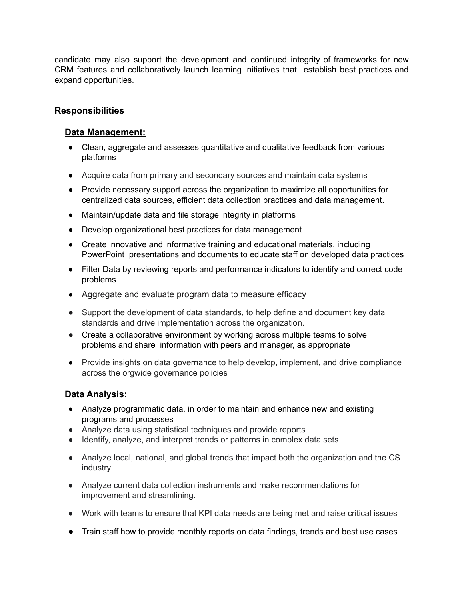candidate may also support the development and continued integrity of frameworks for new CRM features and collaboratively launch learning initiatives that establish best practices and expand opportunities.

# **Responsibilities**

## **Data Management:**

- Clean, aggregate and assesses quantitative and qualitative feedback from various platforms
- Acquire data from primary and secondary sources and maintain data systems
- Provide necessary support across the organization to maximize all opportunities for centralized data sources, efficient data collection practices and data management.
- Maintain/update data and file storage integrity in platforms
- Develop organizational best practices for data management
- Create innovative and informative training and educational materials, including PowerPoint presentations and documents to educate staff on developed data practices
- Filter Data by reviewing reports and performance indicators to identify and correct code problems
- Aggregate and evaluate program data to measure efficacy
- Support the development of data standards, to help define and document key data standards and drive implementation across the organization.
- Create a collaborative environment by working across multiple teams to solve problems and share information with peers and manager, as appropriate
- Provide insights on data governance to help develop, implement, and drive compliance across the orgwide governance policies

### **Data Analysis:**

- Analyze programmatic data, in order to maintain and enhance new and existing programs and processes
- Analyze data using statistical techniques and provide reports
- Identify, analyze, and interpret trends or patterns in complex data sets
- Analyze local, national, and global trends that impact both the organization and the CS industry
- Analyze current data collection instruments and make recommendations for improvement and streamlining.
- Work with teams to ensure that KPI data needs are being met and raise critical issues
- Train staff how to provide monthly reports on data findings, trends and best use cases